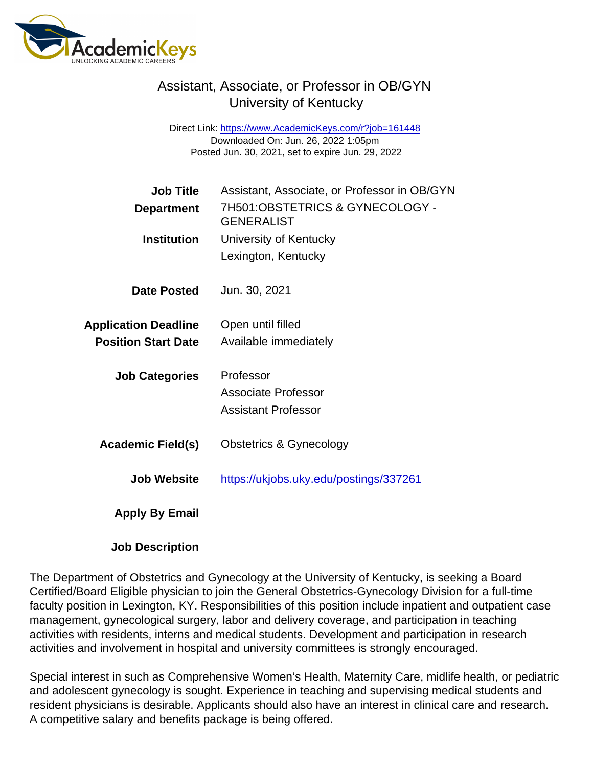## Assistant, Associate, or Professor in OB/GYN University of Kentucky

Direct Link: <https://www.AcademicKeys.com/r?job=161448> Downloaded On: Jun. 26, 2022 1:05pm Posted Jun. 30, 2021, set to expire Jun. 29, 2022

| Job Title                   | Assistant, Associate, or Professor in OB/GYN         |
|-----------------------------|------------------------------------------------------|
| Department                  | 7H501:OBSTETRICS & GYNECOLOGY -<br><b>GENERALIST</b> |
| Institution                 | University of Kentucky                               |
|                             | Lexington, Kentucky                                  |
| Date Posted                 | Jun. 30, 2021                                        |
| <b>Application Deadline</b> | Open until filled                                    |
| <b>Position Start Date</b>  | Available immediately                                |
| <b>Job Categories</b>       | Professor                                            |
|                             | Associate Professor                                  |
|                             | Assistant Professor                                  |
| Academic Field(s)           | <b>Obstetrics &amp; Gynecology</b>                   |
| Job Website                 | https://ukjobs.uky.edu/postings/337261               |
| <b>Apply By Email</b>       |                                                      |

Job Description

The Department of Obstetrics and Gynecology at the University of Kentucky, is seeking a Board Certified/Board Eligible physician to join the General Obstetrics-Gynecology Division for a full-time faculty position in Lexington, KY. Responsibilities of this position include inpatient and outpatient case management, gynecological surgery, labor and delivery coverage, and participation in teaching activities with residents, interns and medical students. Development and participation in research activities and involvement in hospital and university committees is strongly encouraged.

Special interest in such as Comprehensive Women's Health, Maternity Care, midlife health, or pediatric and adolescent gynecology is sought. Experience in teaching and supervising medical students and resident physicians is desirable. Applicants should also have an interest in clinical care and research. A competitive salary and benefits package is being offered.